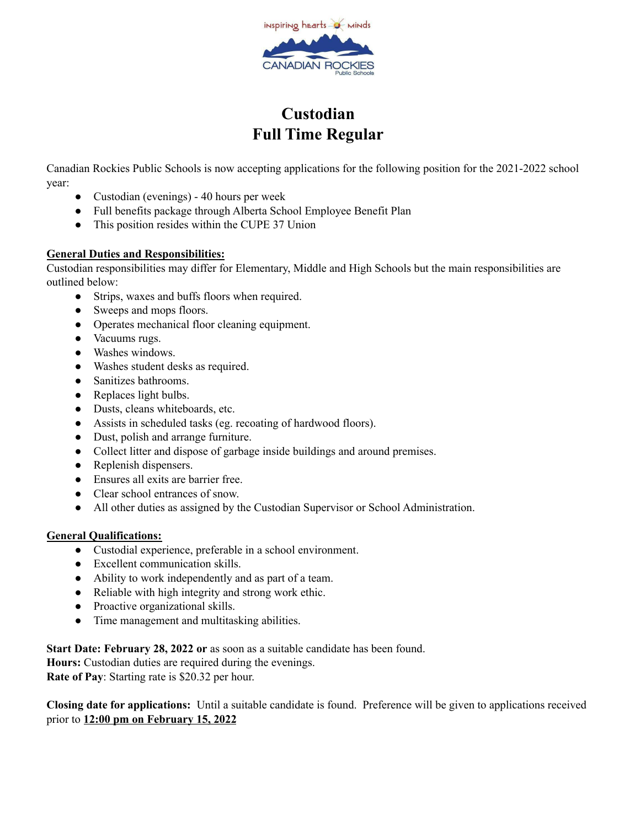

## **Custodian Full Time Regular**

Canadian Rockies Public Schools is now accepting applications for the following position for the 2021-2022 school year:

- Custodian (evenings) 40 hours per week
- Full benefits package through Alberta School Employee Benefit Plan
- This position resides within the CUPE 37 Union

## **General Duties and Responsibilities:**

Custodian responsibilities may differ for Elementary, Middle and High Schools but the main responsibilities are outlined below:

- Strips, waxes and buffs floors when required.
- Sweeps and mops floors.
- Operates mechanical floor cleaning equipment.
- Vacuums rugs.
- Washes windows.
- Washes student desks as required.
- Sanitizes bathrooms.
- Replaces light bulbs.
- Dusts, cleans whiteboards, etc.
- Assists in scheduled tasks (eg. recoating of hardwood floors).
- Dust, polish and arrange furniture.
- Collect litter and dispose of garbage inside buildings and around premises.
- Replenish dispensers.
- Ensures all exits are barrier free.
- Clear school entrances of snow.
- All other duties as assigned by the Custodian Supervisor or School Administration.

## **General Qualifications:**

- Custodial experience, preferable in a school environment.
- Excellent communication skills.
- Ability to work independently and as part of a team.
- Reliable with high integrity and strong work ethic.
- Proactive organizational skills.
- Time management and multitasking abilities.

**Start Date: February 28, 2022 or** as soon as a suitable candidate has been found.

**Hours:** Custodian duties are required during the evenings.

**Rate of Pay**: Starting rate is \$20.32 per hour.

**Closing date for applications:** Until a suitable candidate is found. Preference will be given to applications received prior to **12:00 pm on February 15, 2022**